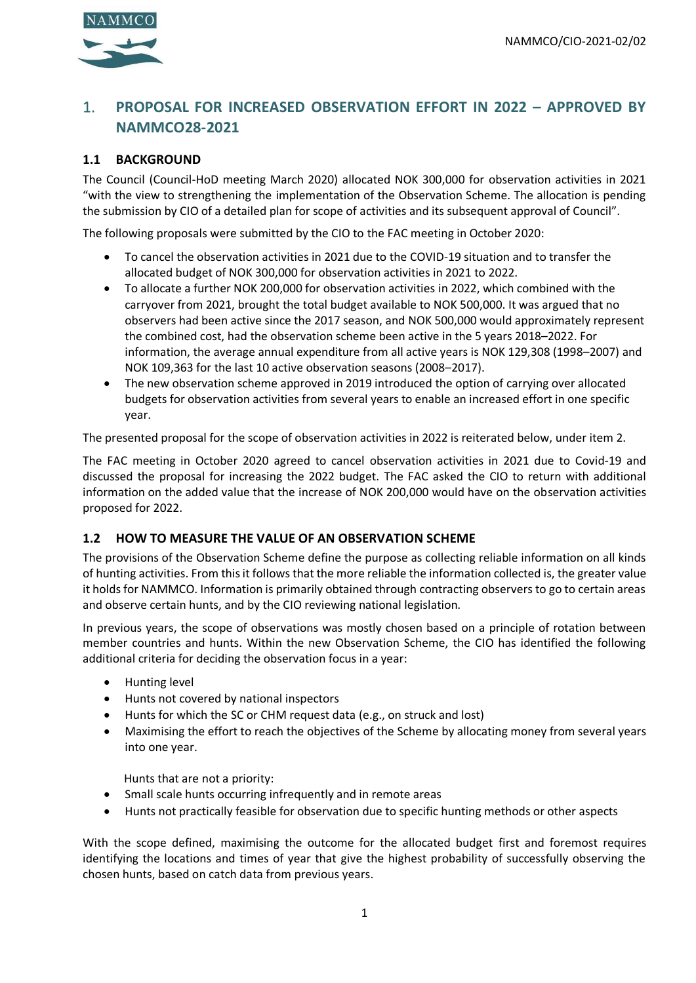

# 1. **PROPOSAL FOR INCREASED OBSERVATION EFFORT IN 2022 – APPROVED BY NAMMCO28-2021**

#### **1.1 BACKGROUND**

The Council (Council-HoD meeting March 2020) allocated NOK 300,000 for observation activities in 2021 "with the view to strengthening the implementation of the Observation Scheme. The allocation is pending the submission by CIO of a detailed plan for scope of activities and its subsequent approval of Council".

The following proposals were submitted by the CIO to the FAC meeting in October 2020:

- To cancel the observation activities in 2021 due to the COVID-19 situation and to transfer the allocated budget of NOK 300,000 for observation activities in 2021 to 2022.
- To allocate a further NOK 200,000 for observation activities in 2022, which combined with the carryover from 2021, brought the total budget available to NOK 500,000. It was argued that no observers had been active since the 2017 season, and NOK 500,000 would approximately represent the combined cost, had the observation scheme been active in the 5 years 2018–2022. For information, the average annual expenditure from all active years is NOK 129,308 (1998–2007) and NOK 109,363 for the last 10 active observation seasons (2008–2017).
- The new observation scheme approved in 2019 introduced the option of carrying over allocated budgets for observation activities from several years to enable an increased effort in one specific year.

The presented proposal for the scope of observation activities in 2022 is reiterated below, under item 2.

The FAC meeting in October 2020 agreed to cancel observation activities in 2021 due to Covid-19 and discussed the proposal for increasing the 2022 budget. The FAC asked the CIO to return with additional information on the added value that the increase of NOK 200,000 would have on the observation activities proposed for 2022.

#### **1.2 HOW TO MEASURE THE VALUE OF AN OBSERVATION SCHEME**

The provisions of the Observation Scheme define the purpose as collecting reliable information on all kinds of hunting activities. From this it follows that the more reliable the information collected is, the greater value it holds for NAMMCO. Information is primarily obtained through contracting observers to go to certain areas and observe certain hunts, and by the CIO reviewing national legislation.

In previous years, the scope of observations was mostly chosen based on a principle of rotation between member countries and hunts. Within the new Observation Scheme, the CIO has identified the following additional criteria for deciding the observation focus in a year:

- Hunting level
- Hunts not covered by national inspectors
- Hunts for which the SC or CHM request data (e.g., on struck and lost)
- Maximising the effort to reach the objectives of the Scheme by allocating money from several years into one year.

Hunts that are not a priority:

- Small scale hunts occurring infrequently and in remote areas
- Hunts not practically feasible for observation due to specific hunting methods or other aspects

With the scope defined, maximising the outcome for the allocated budget first and foremost requires identifying the locations and times of year that give the highest probability of successfully observing the chosen hunts, based on catch data from previous years.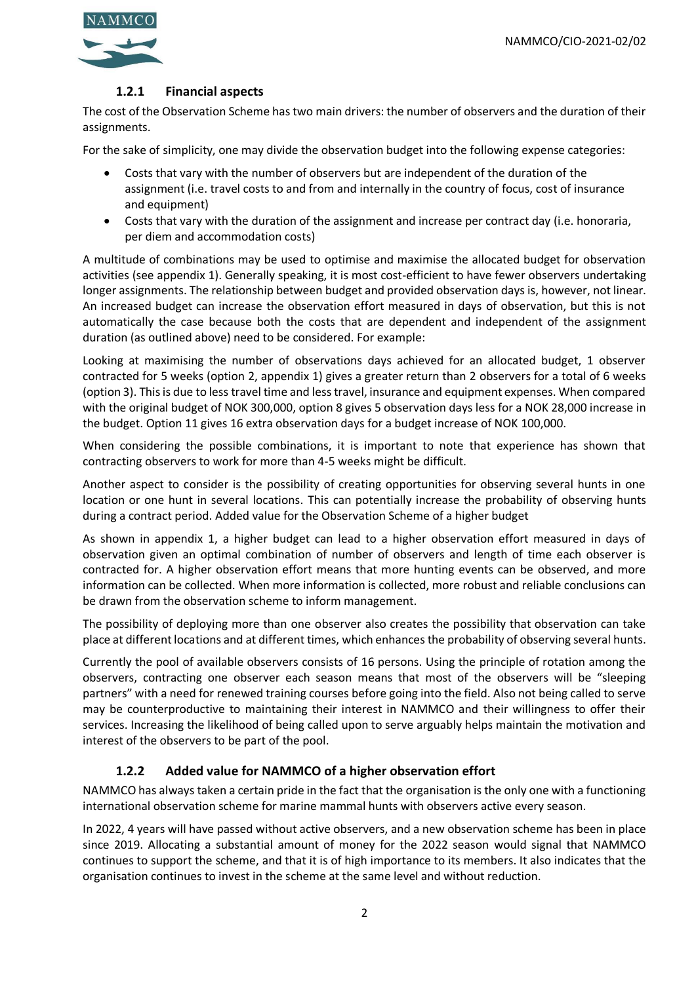

# **1.2.1 Financial aspects**

The cost of the Observation Scheme has two main drivers: the number of observers and the duration of their assignments.

For the sake of simplicity, one may divide the observation budget into the following expense categories:

- Costs that vary with the number of observers but are independent of the duration of the assignment (i.e. travel costs to and from and internally in the country of focus, cost of insurance and equipment)
- Costs that vary with the duration of the assignment and increase per contract day (i.e. honoraria, per diem and accommodation costs)

A multitude of combinations may be used to optimise and maximise the allocated budget for observation activities (see appendix 1). Generally speaking, it is most cost-efficient to have fewer observers undertaking longer assignments. The relationship between budget and provided observation days is, however, not linear. An increased budget can increase the observation effort measured in days of observation, but this is not automatically the case because both the costs that are dependent and independent of the assignment duration (as outlined above) need to be considered. For example:

Looking at maximising the number of observations days achieved for an allocated budget, 1 observer contracted for 5 weeks (option 2, appendix 1) gives a greater return than 2 observers for a total of 6 weeks (option 3). This is due to less travel time and less travel, insurance and equipment expenses. When compared with the original budget of NOK 300,000, option 8 gives 5 observation days less for a NOK 28,000 increase in the budget. Option 11 gives 16 extra observation days for a budget increase of NOK 100,000.

When considering the possible combinations, it is important to note that experience has shown that contracting observers to work for more than 4-5 weeks might be difficult.

Another aspect to consider is the possibility of creating opportunities for observing several hunts in one location or one hunt in several locations. This can potentially increase the probability of observing hunts during a contract period. Added value for the Observation Scheme of a higher budget

As shown in appendix 1, a higher budget can lead to a higher observation effort measured in days of observation given an optimal combination of number of observers and length of time each observer is contracted for. A higher observation effort means that more hunting events can be observed, and more information can be collected. When more information is collected, more robust and reliable conclusions can be drawn from the observation scheme to inform management.

The possibility of deploying more than one observer also creates the possibility that observation can take place at different locations and at different times, which enhances the probability of observing several hunts.

Currently the pool of available observers consists of 16 persons. Using the principle of rotation among the observers, contracting one observer each season means that most of the observers will be "sleeping partners" with a need for renewed training courses before going into the field. Also not being called to serve may be counterproductive to maintaining their interest in NAMMCO and their willingness to offer their services. Increasing the likelihood of being called upon to serve arguably helps maintain the motivation and interest of the observers to be part of the pool.

# **1.2.2 Added value for NAMMCO of a higher observation effort**

NAMMCO has always taken a certain pride in the fact that the organisation is the only one with a functioning international observation scheme for marine mammal hunts with observers active every season.

In 2022, 4 years will have passed without active observers, and a new observation scheme has been in place since 2019. Allocating a substantial amount of money for the 2022 season would signal that NAMMCO continues to support the scheme, and that it is of high importance to its members. It also indicates that the organisation continues to invest in the scheme at the same level and without reduction.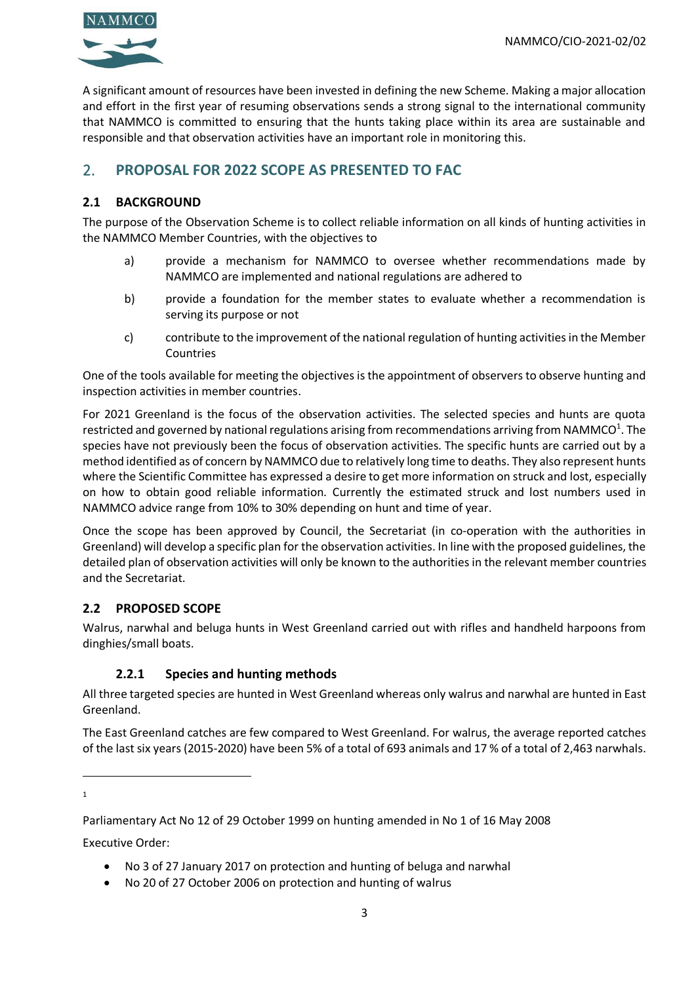

A significant amount of resources have been invested in defining the new Scheme. Making a major allocation and effort in the first year of resuming observations sends a strong signal to the international community that NAMMCO is committed to ensuring that the hunts taking place within its area are sustainable and responsible and that observation activities have an important role in monitoring this.

# 2. **PROPOSAL FOR 2022 SCOPE AS PRESENTED TO FAC**

#### **2.1 BACKGROUND**

The purpose of the Observation Scheme is to collect reliable information on all kinds of hunting activities in the NAMMCO Member Countries, with the objectives to

- a) provide a mechanism for NAMMCO to oversee whether recommendations made by NAMMCO are implemented and national regulations are adhered to
- b) provide a foundation for the member states to evaluate whether a recommendation is serving its purpose or not
- c) contribute to the improvement of the national regulation of hunting activities in the Member Countries

One of the tools available for meeting the objectives is the appointment of observers to observe hunting and inspection activities in member countries.

For 2021 Greenland is the focus of the observation activities. The selected species and hunts are quota restricted and governed by national regulations arising from recommendations arriving from NAMMCO<sup>1</sup>. The species have not previously been the focus of observation activities. The specific hunts are carried out by a method identified as of concern by NAMMCO due to relatively long time to deaths. They also represent hunts where the Scientific Committee has expressed a desire to get more information on struck and lost, especially on how to obtain good reliable information. Currently the estimated struck and lost numbers used in NAMMCO advice range from 10% to 30% depending on hunt and time of year.

Once the scope has been approved by Council, the Secretariat (in co-operation with the authorities in Greenland) will develop a specific plan for the observation activities. In line with the proposed guidelines, the detailed plan of observation activities will only be known to the authorities in the relevant member countries and the Secretariat.

# **2.2 PROPOSED SCOPE**

Walrus, narwhal and beluga hunts in West Greenland carried out with rifles and handheld harpoons from dinghies/small boats.

# **2.2.1 Species and hunting methods**

All three targeted species are hunted in West Greenland whereas only walrus and narwhal are hunted in East Greenland.

The East Greenland catches are few compared to West Greenland. For walrus, the average reported catches of the last six years (2015-2020) have been 5% of a total of 693 animals and 17 % of a total of 2,463 narwhals.

1

Executive Order:

- No 3 of 27 January 2017 on protection and hunting of beluga and narwhal
- No 20 of 27 October 2006 on protection and hunting of walrus

Parliamentary Act No 12 of 29 October 1999 on hunting amended in No 1 of 16 May 2008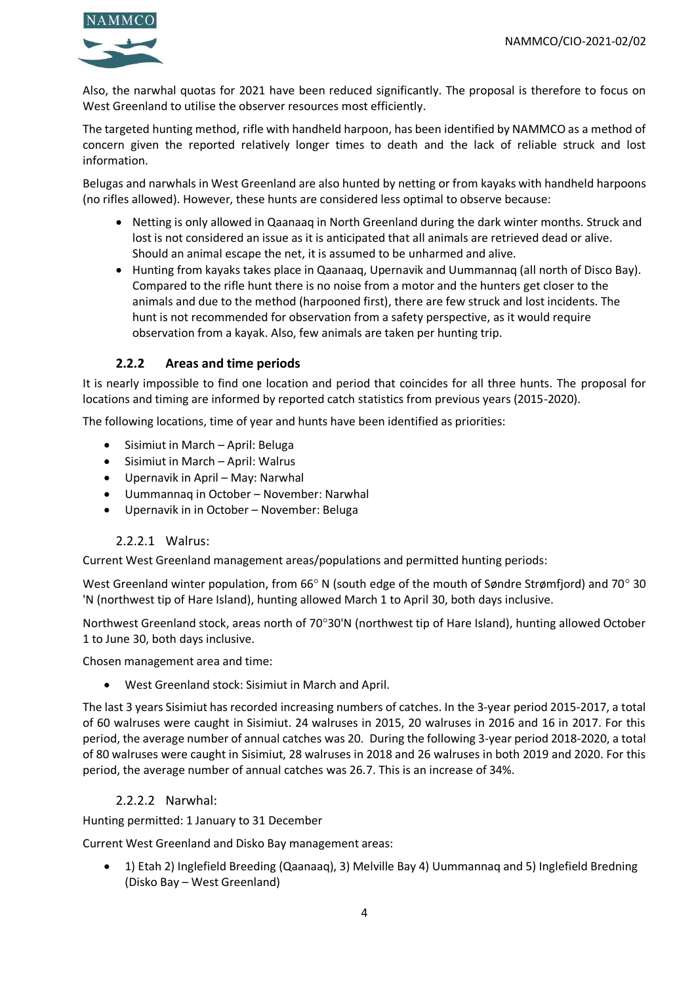

Also, the narwhal quotas for 2021 have been reduced significantly. The proposal is therefore to focus on West Greenland to utilise the observer resources most efficiently.

The targeted hunting method, rifle with handheld harpoon, has been identified by NAMMCO as a method of concern given the reported relatively longer times to death and the lack of reliable struck and lost information.

Belugas and narwhals in West Greenland are also hunted by netting or from kayaks with handheld harpoons (no rifles allowed). However, these hunts are considered less optimal to observe because:

- Netting is only allowed in Qaanaaq in North Greenland during the dark winter months. Struck and lost is not considered an issue as it is anticipated that all animals are retrieved dead or alive. Should an animal escape the net, it is assumed to be unharmed and alive.
- Hunting from kayaks takes place in Qaanaaq, Upernavik and Uummannaq (all north of Disco Bay). Compared to the rifle hunt there is no noise from a motor and the hunters get closer to the animals and due to the method (harpooned first), there are few struck and lost incidents. The hunt is not recommended for observation from a safety perspective, as it would require observation from a kayak. Also, few animals are taken per hunting trip.

#### **2.2.2 Areas and time periods**

It is nearly impossible to find one location and period that coincides for all three hunts. The proposal for locations and timing are informed by reported catch statistics from previous years (2015-2020).

The following locations, time of year and hunts have been identified as priorities:

- Sisimiut in March April: Beluga
- Sisimiut in March April: Walrus
- Upernavik in April May: Narwhal
- Uummannaq in October November: Narwhal
- Upernavik in in October November: Beluga

#### 2.2.2.1 Walrus:

Current West Greenland management areas/populations and permitted hunting periods:

West Greenland winter population, from 66° N (south edge of the mouth of Søndre Strømfjord) and 70° 30 'N (northwest tip of Hare Island), hunting allowed March 1 to April 30, both days inclusive.

Northwest Greenland stock, areas north of 70°30'N (northwest tip of Hare Island), hunting allowed October 1 to June 30, both days inclusive.

Chosen management area and time:

• West Greenland stock: Sisimiut in March and April.

The last 3 years Sisimiut has recorded increasing numbers of catches. In the 3-year period 2015-2017, a total of 60 walruses were caught in Sisimiut. 24 walruses in 2015, 20 walruses in 2016 and 16 in 2017. For this period, the average number of annual catches was 20. During the following 3-year period 2018-2020, a total of 80 walruses were caught in Sisimiut, 28 walruses in 2018 and 26 walruses in both 2019 and 2020. For this period, the average number of annual catches was 26.7. This is an increase of 34%.

#### 2.2.2.2 Narwhal:

Hunting permitted: 1 January to 31 December

Current West Greenland and Disko Bay management areas:

• 1) Etah 2) Inglefield Breeding (Qaanaaq), 3) Melville Bay 4) Uummannaq and 5) Inglefield Bredning (Disko Bay – West Greenland)